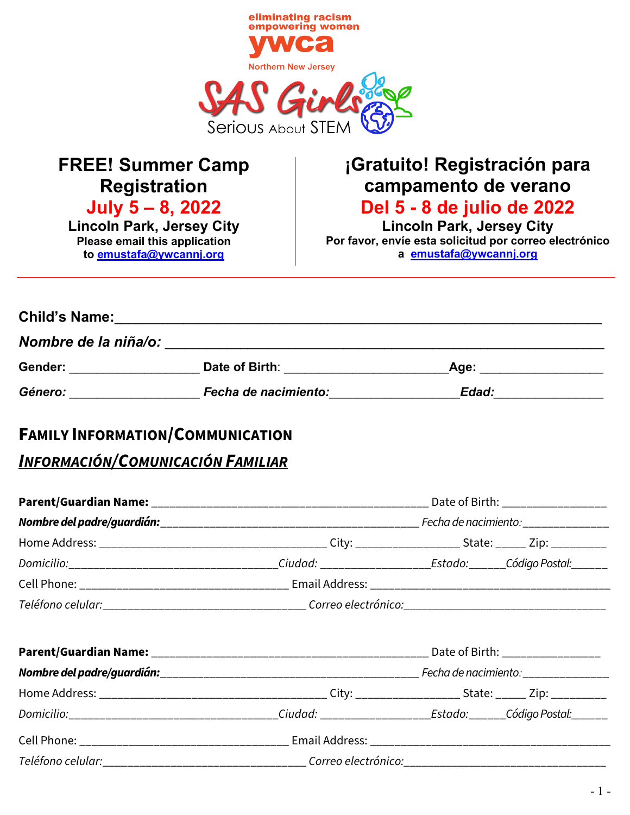

# **FREE! Summer Camp Registration July 5 – 8, 2022**

**Lincoln Park, Jersey City Please email this application to [emustafa@ywcannj.org](mailto:emustafa@ywcannj.org)**

# **¡Gratuito! Registración para campamento de verano**

**Del 5 - 8 de julio de 2022**

**Lincoln Park, Jersey City Por favor, envíe esta solicitud por correo electrónico a [emustafa@ywcannj.org](mailto:emustafa@ywcannj.org)**

#### Child's Name:

| Nombre de la niña/o: |                      |       |  |
|----------------------|----------------------|-------|--|
| Gender:              | Date of Birth:       | Age:  |  |
| Género:              | Fecha de nacimiento: | Edad: |  |

#### **FAMILY INFORMATION/COMMUNICATION**

### *INFORMACIÓN/COMUNICACIÓN FAMILIAR*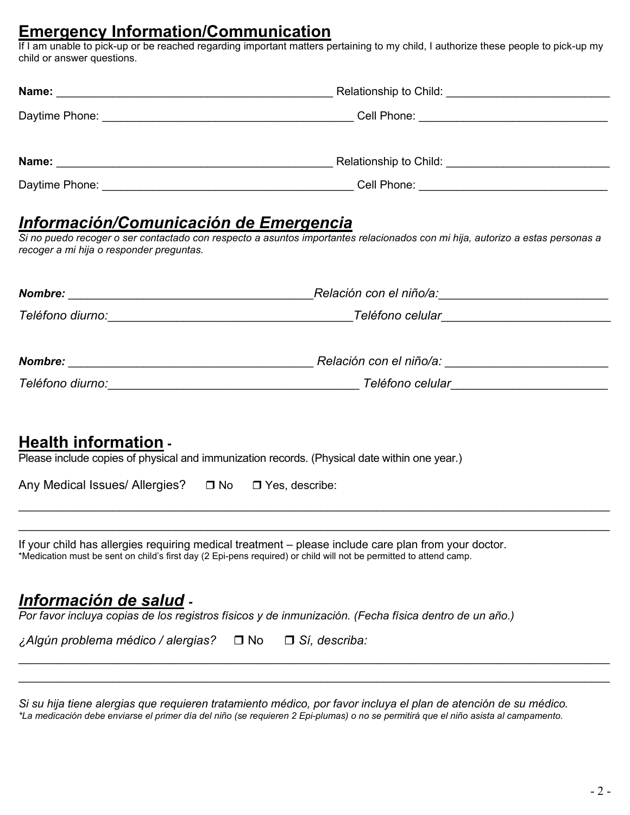### **Emergency Information/Communication**

If I am unable to pick-up or be reached regarding important matters pertaining to my child, I authorize these people to pick-up my child or answer questions.

| Name:<br><u> 1989 - Johann Stoff, deutscher Stoff, der Stoff, der Stoff, der Stoff, der Stoff, der Stoff, der Stoff, der S</u> | Relationship to Child: <b>Example 2018</b> |  |
|--------------------------------------------------------------------------------------------------------------------------------|--------------------------------------------|--|
|                                                                                                                                | Cell Phone: <u>_______________________</u> |  |
|                                                                                                                                |                                            |  |
| Name:                                                                                                                          | Relationship to Child: <b>Example 2018</b> |  |
| Daytime Phone:                                                                                                                 | Cell Phone: <u>______________</u>          |  |

### *Información/Comunicación de Emergencia*

*Si no puedo recoger o ser contactado con respecto a asuntos importantes relacionados con mi hija, autorizo a estas personas a recoger a mi hija o responder preguntas.*

| <b>Nombre:</b>   | Relación con el niño/a: |  |  |
|------------------|-------------------------|--|--|
| Teléfono diurno: | Teléfono celular        |  |  |
|                  |                         |  |  |
| <b>Nombre:</b>   | Relación con el niño/a: |  |  |
| Teléfono diurno: | Teléfono celular        |  |  |
|                  |                         |  |  |

\_\_\_\_\_\_\_\_\_\_\_\_\_\_\_\_\_\_\_\_\_\_\_\_\_\_\_\_\_\_\_\_\_\_\_\_\_\_\_\_\_\_\_\_\_\_\_\_\_\_\_\_\_\_\_\_\_\_\_\_\_\_\_\_\_\_\_\_\_\_\_\_\_\_\_\_\_\_\_\_\_\_\_\_\_\_\_\_\_\_\_\_\_\_  $\_$  ,  $\_$  ,  $\_$  ,  $\_$  ,  $\_$  ,  $\_$  ,  $\_$  ,  $\_$  ,  $\_$  ,  $\_$  ,  $\_$  ,  $\_$  ,  $\_$  ,  $\_$  ,  $\_$  ,  $\_$  ,  $\_$  ,  $\_$  ,  $\_$  ,  $\_$  ,  $\_$  ,  $\_$  ,  $\_$  ,  $\_$  ,  $\_$  ,  $\_$  ,  $\_$  ,  $\_$  ,  $\_$  ,  $\_$  ,  $\_$  ,  $\_$  ,  $\_$  ,  $\_$  ,  $\_$  ,  $\_$  ,  $\_$  ,

#### **Health information -**

Please include copies of physical and immunization records. (Physical date within one year.)

Any Medical Issues/ Allergies?  $\Box$  No  $\Box$  Yes, describe:

If your child has allergies requiring medical treatment – please include care plan from your doctor. \*Medication must be sent on child's first day (2 Epi-pens required) or child will not be permitted to attend camp.

### *Información de salud -*

*Por favor incluya copias de los registros físicos y de inmunización. (Fecha física dentro de un año.)* 

*¿Algún problema médico / alergias?*  No *Sí, describa:*

*Si su hija tiene alergias que requieren tratamiento médico, por favor incluya el plan de atención de su médico. \*La medicación debe enviarse el primer día del niño (se requieren 2 Epi-plumas) o no se permitirá que el niño asista al campamento.*

 $\_$  ,  $\_$  ,  $\_$  ,  $\_$  ,  $\_$  ,  $\_$  ,  $\_$  ,  $\_$  ,  $\_$  ,  $\_$  ,  $\_$  ,  $\_$  ,  $\_$  ,  $\_$  ,  $\_$  ,  $\_$  ,  $\_$  ,  $\_$  ,  $\_$  ,  $\_$  ,  $\_$  ,  $\_$  ,  $\_$  ,  $\_$  ,  $\_$  ,  $\_$  ,  $\_$  ,  $\_$  ,  $\_$  ,  $\_$  ,  $\_$  ,  $\_$  ,  $\_$  ,  $\_$  ,  $\_$  ,  $\_$  ,  $\_$  ,  $\_$  ,  $\_$  ,  $\_$  ,  $\_$  ,  $\_$  ,  $\_$  ,  $\_$  ,  $\_$  ,  $\_$  ,  $\_$  ,  $\_$  ,  $\_$  ,  $\_$  ,  $\_$  ,  $\_$  ,  $\_$  ,  $\_$  ,  $\_$  ,  $\_$  ,  $\_$  ,  $\_$  ,  $\_$  ,  $\_$  ,  $\_$  ,  $\_$  ,  $\_$  ,  $\_$  ,  $\_$  ,  $\_$  ,  $\_$  ,  $\_$  ,  $\_$  ,  $\_$  ,  $\_$  ,  $\_$  ,  $\_$  ,  $\_$  ,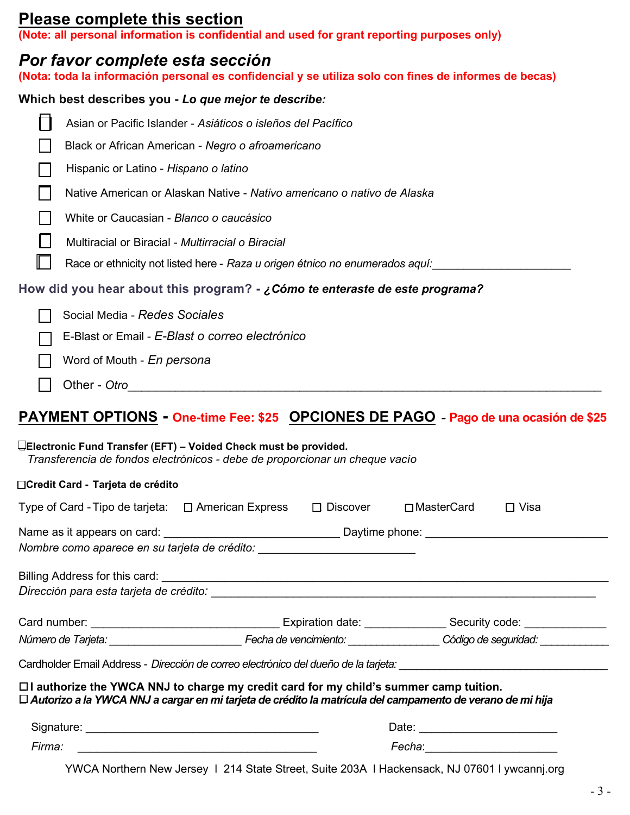#### **Please complete this section**

**(Note: all personal information is confidential and used for grant reporting purposes only)**

#### *Por favor complete esta sección*

**(Nota: toda la información personal es confidencial y se utiliza solo con fines de informes de becas)**

#### **Which best describes you -** *Lo que mejor te describe:*

- Asian or Pacific Islander *Asiáticos o isleños del Pacífico*
- Black or African American *Negro o afroamericano*
- Hispanic or Latino *Hispano o latino*
- Native American or Alaskan Native *Nativo americano o nativo de Alaska*
- White or Caucasian *Blanco o caucásico*
- Multiracial or Biracial *Multirracial o Biracial*
	- Race or ethnicity not listed here *Raza u origen étnico no enumerados aquí:*

#### **How did you hear about this program? -** *¿Cómo te enteraste de este programa?*

- Social Media *Redes Sociales*
- E-Blast or Email *E-Blast o correo electrónico*
- Word of Mouth *En persona*
- Other *Otro*

**Credit Card - Tarjeta de crédito**

#### **PAYMENT OPTIONS - One-time Fee: \$25 OPCIONES DE PAGO** - **Pago de una ocasión de \$25**

#### **Electronic Fund Transfer (EFT) – Voided Check must be provided.** *Transferencia de fondos electrónicos - debe de proporcionar un cheque vacío*

| ⊔∪reait ∪ard - Tarjeta de credito                                                                                                                                                                           |  |                              |             |
|-------------------------------------------------------------------------------------------------------------------------------------------------------------------------------------------------------------|--|------------------------------|-------------|
| Type of Card - Tipo de tarjeta: □ American Express □ Discover □ □ MasterCard                                                                                                                                |  |                              | $\Box$ Visa |
| Nombre como aparece en su tarjeta de crédito: __________________________________                                                                                                                            |  |                              |             |
|                                                                                                                                                                                                             |  |                              |             |
|                                                                                                                                                                                                             |  |                              |             |
|                                                                                                                                                                                                             |  |                              |             |
| Cardholder Email Address - Dirección de correo electrónico del dueño de la tarjeta:                                                                                                                         |  |                              |             |
| $\Box$ I authorize the YWCA NNJ to charge my credit card for my child's summer camp tuition.<br>□ Autorizo a la YWCA NNJ a cargar en mi tarjeta de crédito la matrícula del campamento de verano de mi hija |  |                              |             |
|                                                                                                                                                                                                             |  | Date: ______________________ |             |
|                                                                                                                                                                                                             |  |                              |             |

*Firma:* \_\_\_\_\_\_\_\_\_\_\_\_\_\_\_\_\_\_\_\_\_\_\_\_\_\_\_\_\_\_\_\_\_\_\_\_\_\_ *Fecha*:\_\_\_\_\_\_\_\_\_\_\_\_\_\_\_\_\_\_\_\_\_

YWCA Northern New Jersey l 214 State Street, Suite 203A l Hackensack, NJ 07601 l ywcannj.org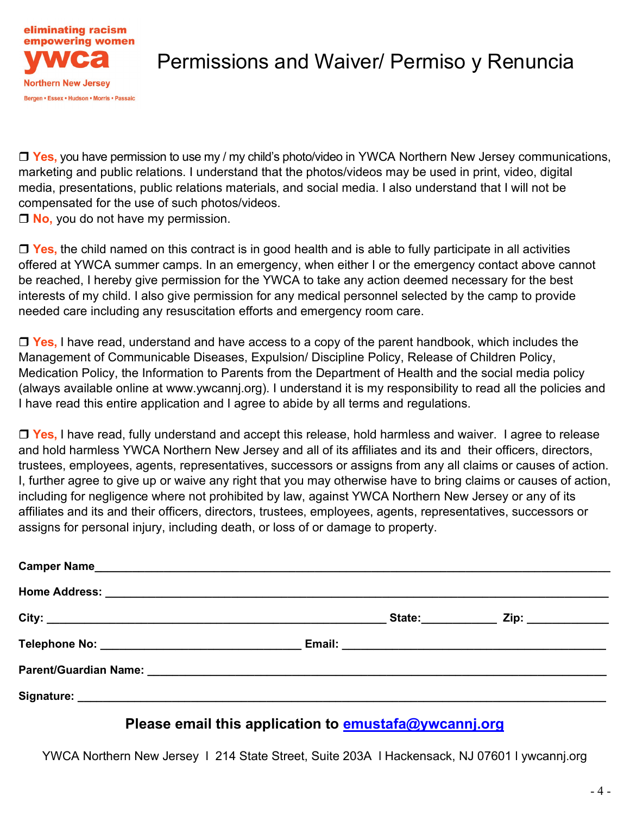

# Permissions and Waiver/ Permiso y Renuncia

□ Yes, you have permission to use my / my child's photo/video in YWCA Northern New Jersey communications, marketing and public relations. I understand that the photos/videos may be used in print, video, digital media, presentations, public relations materials, and social media. I also understand that I will not be compensated for the use of such photos/videos.

□ **No**, you do not have my permission.

**□ Yes,** the child named on this contract is in good health and is able to fully participate in all activities offered at YWCA summer camps. In an emergency, when either I or the emergency contact above cannot be reached, I hereby give permission for the YWCA to take any action deemed necessary for the best interests of my child. I also give permission for any medical personnel selected by the camp to provide needed care including any resuscitation efforts and emergency room care.

□ Yes, I have read, understand and have access to a copy of the parent handbook, which includes the Management of Communicable Diseases, Expulsion/ Discipline Policy, Release of Children Policy, Medication Policy, the Information to Parents from the Department of Health and the social media policy (always available online at www.ywcannj.org). I understand it is my responsibility to read all the policies and I have read this entire application and I agree to abide by all terms and regulations.

**□ Yes,** I have read, fully understand and accept this release, hold harmless and waiver. I agree to release and hold harmless YWCA Northern New Jersey and all of its affiliates and its and their officers, directors, trustees, employees, agents, representatives, successors or assigns from any all claims or causes of action. I, further agree to give up or waive any right that you may otherwise have to bring claims or causes of action, including for negligence where not prohibited by law, against YWCA Northern New Jersey or any of its affiliates and its and their officers, directors, trustees, employees, agents, representatives, successors or assigns for personal injury, including death, or loss of or damage to property.

#### **Please email this application to [emustafa@ywcannj.org](mailto:emustafa@ywcannj.org)**

YWCA Northern New Jersey l 214 State Street, Suite 203A l Hackensack, NJ 07601 l ywcannj.org